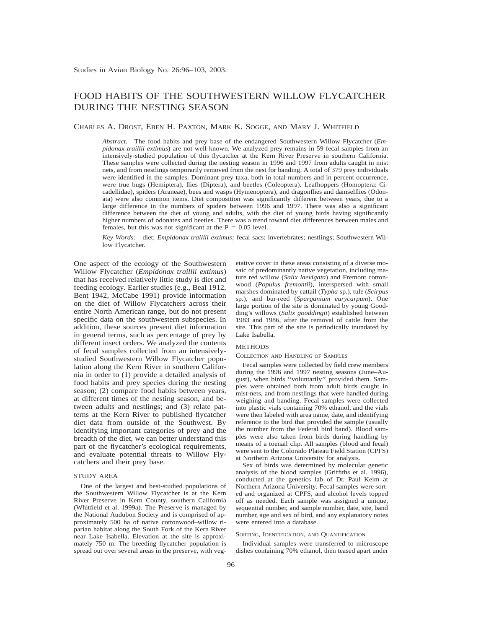# FOOD HABITS OF THE SOUTHWESTERN WILLOW FLYCATCHER DURING THE NESTING SEASON

CHARLES A. DROST, EBEN H. PAXTON, MARK K. SOGGE, AND MARY J. WHITFIELD

*Abstract.* The food habits and prey base of the endangered Southwestern Willow Flycatcher (*Empidonax traillii extimus*) are not well known. We analyzed prey remains in 59 fecal samples from an intensively-studied population of this flycatcher at the Kern River Preserve in southern California. These samples were collected during the nesting season in 1996 and 1997 from adults caught in mist nets, and from nestlings temporarily removed from the nest for banding. A total of 379 prey individuals were identified in the samples. Dominant prey taxa, both in total numbers and in percent occurrence, were true bugs (Hemiptera), flies (Diptera), and beetles (Coleoptera). Leafhoppers (Homoptera: Cicadellidae), spiders (Araneae), bees and wasps (Hymenoptera), and dragonflies and damselflies (Odonata) were also common items. Diet composition was significantly different between years, due to a large difference in the numbers of spiders between 1996 and 1997. There was also a significant difference between the diet of young and adults, with the diet of young birds having significantly higher numbers of odonates and beetles. There was a trend toward diet differences between males and females, but this was not significant at the  $P = 0.05$  level.

*Key Words:* diet; *Empidonax traillii extimus;* fecal sacs; invertebrates; nestlings; Southwestern Willow Flycatcher.

One aspect of the ecology of the Southwestern Willow Flycatcher (*Empidonax traillii extimus*) that has received relatively little study is diet and feeding ecology. Earlier studies (e.g., Beal 1912, Bent 1942, McCabe 1991) provide information on the diet of Willow Flycatchers across their entire North American range, but do not present specific data on the southwestern subspecies. In addition, these sources present diet information in general terms, such as percentage of prey by different insect orders. We analyzed the contents of fecal samples collected from an intensivelystudied Southwestern Willow Flycatcher population along the Kern River in southern California in order to (1) provide a detailed analysis of food habits and prey species during the nesting season; (2) compare food habits between years, at different times of the nesting season, and between adults and nestlings; and (3) relate patterns at the Kern River to published flycatcher diet data from outside of the Southwest. By identifying important categories of prey and the breadth of the diet, we can better understand this part of the flycatcher's ecological requirements, and evaluate potential threats to Willow Flycatchers and their prey base.

#### STUDY AREA

One of the largest and best-studied populations of the Southwestern Willow Flycatcher is at the Kern River Preserve in Kern County, southern California (Whitfield et al. 1999a). The Preserve is managed by the National Audubon Society and is comprised of approximately 500 ha of native cottonwood–willow riparian habitat along the South Fork of the Kern River near Lake Isabella. Elevation at the site is approximately 750 m. The breeding flycatcher population is spread out over several areas in the preserve, with vegetative cover in these areas consisting of a diverse mosaic of predominantly native vegetation, including mature red willow (*Salix laevigata*) and Fremont cottonwood (*Populus fremontii*), interspersed with small marshes dominated by cattail (*Typha* sp.), tule (*Scirpus* sp.), and bur-reed (*Sparganium eurycarpum*). One large portion of the site is dominated by young Goodding's willows (*Salix gooddingii*) established between 1983 and 1986, after the removal of cattle from the site. This part of the site is periodically inundated by Lake Isabella.

# **METHODS**

#### COLLECTION AND HANDLING OF SAMPLES

Fecal samples were collected by field crew members during the 1996 and 1997 nesting seasons (June–August), when birds ''voluntarily'' provided them. Samples were obtained both from adult birds caught in mist-nets, and from nestlings that were handled during weighing and banding. Fecal samples were collected into plastic vials containing 70% ethanol, and the vials were then labeled with area name, date, and identifying reference to the bird that provided the sample (usually the number from the Federal bird band). Blood samples were also taken from birds during handling by means of a toenail clip. All samples (blood and fecal) were sent to the Colorado Plateau Field Station (CPFS) at Northern Arizona University for analysis.

Sex of birds was determined by molecular genetic analysis of the blood samples (Griffiths et al. 1996), conducted at the genetics lab of Dr. Paul Keim at Northern Arizona University. Fecal samples were sorted and organized at CPFS, and alcohol levels topped off as needed. Each sample was assigned a unique, sequential number, and sample number, date, site, band number, age and sex of bird, and any explanatory notes were entered into a database.

SORTING, IDENTIFICATION, AND QUANTIFICATION

Individual samples were transferred to microscope dishes containing 70% ethanol, then teased apart under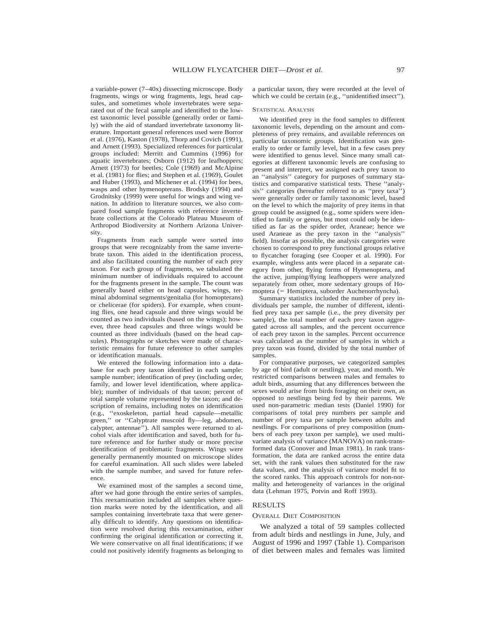a variable-power (7–40x) dissecting microscope. Body fragments, wings or wing fragments, legs, head capsules, and sometimes whole invertebrates were separated out of the fecal sample and identified to the lowest taxonomic level possible (generally order or family) with the aid of standard invertebrate taxonomy literature. Important general references used were Borror et al. (1976), Kaston (1978), Thorp and Covich (1991), and Arnett (1993). Specialized references for particular groups included: Merritt and Cummins (1996) for aquatic invertebrates; Osborn (1912) for leafhoppers; Arnett (1973) for beetles; Cole (1969) and McAlpine et al. (1981) for flies; and Stephen et al. (1969), Goulet and Huber (1993), and Michener et al. (1994) for bees, wasps and other hymenopterans. Brodsky (1994) and Grodnitsky (1999) were useful for wings and wing venation. In addition to literature sources, we also compared food sample fragments with reference invertebrate collections at the Colorado Plateau Museum of Arthropod Biodiversity at Northern Arizona University.

Fragments from each sample were sorted into groups that were recognizably from the same invertebrate taxon. This aided in the identification process, and also facilitated counting the number of each prey taxon. For each group of fragments, we tabulated the minimum number of individuals required to account for the fragments present in the sample. The count was generally based either on head capsules, wings, terminal abdominal segments/genitalia (for homopterans) or chelicerae (for spiders). For example, when counting flies, one head capsule and three wings would be counted as two individuals (based on the wings); however, three head capsules and three wings would be counted as three individuals (based on the head capsules). Photographs or sketches were made of characteristic remains for future reference to other samples or identification manuals.

We entered the following information into a database for each prey taxon identified in each sample: sample number; identification of prey (including order, family, and lower level identification, where applicable); number of individuals of that taxon; percent of total sample volume represented by the taxon; and description of remains, including notes on identification (e.g., ''exoskeleton, partial head capsule—metallic green,'' or ''Calyptrate muscoid fly—leg, abdomen, calypter, antennae''). All samples were returned to alcohol vials after identification and saved, both for future reference and for further study or more precise identification of problematic fragments. Wings were generally permanently mounted on microscope slides for careful examination. All such slides were labeled with the sample number, and saved for future reference.

We examined most of the samples a second time, after we had gone through the entire series of samples. This reexamination included all samples where question marks were noted by the identification, and all samples containing invertebrate taxa that were generally difficult to identify. Any questions on identification were resolved during this reexamination, either confirming the original identification or correcting it. We were conservative on all final identifications; if we could not positively identify fragments as belonging to

a particular taxon, they were recorded at the level of which we could be certain (e.g., "unidentified insect").

#### STATISTICAL ANALYSIS

We identified prey in the food samples to different taxonomic levels, depending on the amount and completeness of prey remains, and available references on particular taxonomic groups. Identification was generally to order or family level, but in a few cases prey were identified to genus level. Since many small categories at different taxonomic levels are confusing to present and interpret, we assigned each prey taxon to an ''analysis'' category for purposes of summary statistics and comparative statistical tests. These ''analysis'' categories (hereafter referred to as ''prey taxa'') were generally order or family taxonomic level, based on the level to which the majority of prey items in that group could be assigned (e.g., some spiders were identified to family or genus, but most could only be identified as far as the spider order, Araneae; hence we used Araneae as the prey taxon in the ''analysis'' field). Insofar as possible, the analysis categories were chosen to correspond to prey functional groups relative to flycatcher foraging (see Cooper et al. 1990). For example, wingless ants were placed in a separate category from other, flying forms of Hymenoptera, and the active, jumping/flying leafhoppers were analyzed separately from other, more sedentary groups of Homoptera (= Hemiptera, suborder Auchenorrhyncha).

Summary statistics included the number of prey individuals per sample, the number of different, identified prey taxa per sample (i.e., the prey diversity per sample), the total number of each prey taxon aggregated across all samples, and the percent occurrence of each prey taxon in the samples. Percent occurrence was calculated as the number of samples in which a prey taxon was found, divided by the total number of samples.

For comparative purposes, we categorized samples by age of bird (adult or nestling), year, and month. We restricted comparisons between males and females to adult birds, assuming that any differences between the sexes would arise from birds foraging on their own, as opposed to nestlings being fed by their parents. We used non-parametric median tests (Daniel 1990) for comparisons of total prey numbers per sample and number of prey taxa per sample between adults and nestlings. For comparisons of prey composition (numbers of each prey taxon per sample), we used multivariate analysis of variance (MANOVA) on rank-transformed data (Conover and Iman 1981). In rank transformation, the data are ranked across the entire data set, with the rank values then substituted for the raw data values, and the analysis of variance model fit to the scored ranks. This approach controls for non-normality and heterogeneity of variances in the original data (Lehman 1975, Potvin and Roff 1993).

# RESULTS

### OVERALL DIET COMPOSITION

We analyzed a total of 59 samples collected from adult birds and nestlings in June, July, and August of 1996 and 1997 (Table 1). Comparison of diet between males and females was limited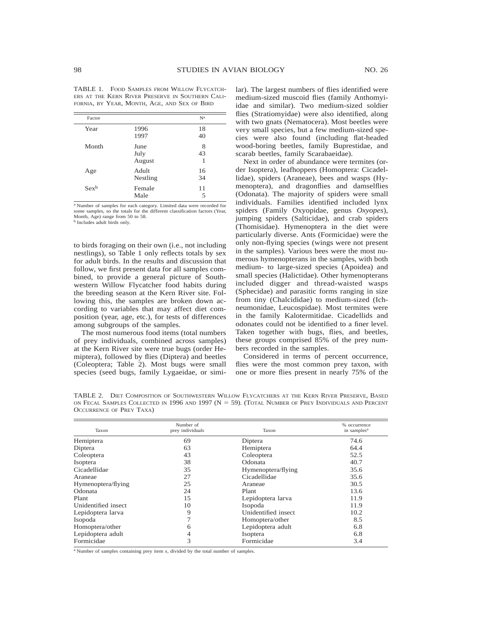TABLE 1. FOOD SAMPLES FROM WILLOW FLYCATCH-ERS AT THE KERN RIVER PRESERVE IN SOUTHERN CALI-FORNIA, BY YEAR, MONTH, AGE, AND SEX OF BIRD

| Factor  |                        | Na           |
|---------|------------------------|--------------|
| Year    | 1996<br>1997           | 18<br>40     |
| Month   | June<br>July<br>August | 8<br>43<br>1 |
| Age     | Adult<br>Nestling      | 16<br>34     |
| $Sex^b$ | Female<br>Male         | 11<br>5      |

<sup>a</sup> Number of samples for each category. Limited data were recorded for some samples, so the totals for the different classification factors (Year, Month, Age) range from 50 to 58. <sup>b</sup> Includes adult birds only.

to birds foraging on their own (i.e., not including nestlings), so Table 1 only reflects totals by sex for adult birds. In the results and discussion that follow, we first present data for all samples combined, to provide a general picture of Southwestern Willow Flycatcher food habits during the breeding season at the Kern River site. Following this, the samples are broken down according to variables that may affect diet composition (year, age, etc.), for tests of differences among subgroups of the samples.

The most numerous food items (total numbers of prey individuals, combined across samples) at the Kern River site were true bugs (order Hemiptera), followed by flies (Diptera) and beetles (Coleoptera; Table 2). Most bugs were small species (seed bugs, family Lygaeidae, or simi-

lar). The largest numbers of flies identified were medium-sized muscoid flies (family Anthomyiidae and similar). Two medium-sized soldier flies (Stratiomyidae) were also identified, along with two gnats (Nematocera). Most beetles were very small species, but a few medium-sized species were also found (including flat-headed wood-boring beetles, family Buprestidae, and scarab beetles, family Scarabaeidae).

Next in order of abundance were termites (order Isoptera), leafhoppers (Homoptera: Cicadellidae), spiders (Araneae), bees and wasps (Hymenoptera), and dragonflies and damselflies (Odonata). The majority of spiders were small individuals. Families identified included lynx spiders (Family Oxyopidae, genus *Oxyopes*), jumping spiders (Salticidae), and crab spiders (Thomisidae). Hymenoptera in the diet were particularly diverse. Ants (Formicidae) were the only non-flying species (wings were not present in the samples). Various bees were the most numerous hymenopterans in the samples, with both medium- to large-sized species (Apoidea) and small species (Halictidae). Other hymenopterans included digger and thread-waisted wasps (Sphecidae) and parasitic forms ranging in size from tiny (Chalcididae) to medium-sized (Ichneumonidae, Leucospidae). Most termites were in the family Kalotermitidae. Cicadellids and odonates could not be identified to a finer level. Taken together with bugs, flies, and beetles, these groups comprised 85% of the prey numbers recorded in the samples.

Considered in terms of percent occurrence, flies were the most common prey taxon, with one or more flies present in nearly 75% of the

TABLE 2. DIET COMPOSITION OF SOUTHWESTERN WILLOW FLYCATCHERS AT THE KERN RIVER PRESERVE, BASED ON FECAL SAMPLES COLLECTED IN 1996 AND 1997 (N 5 59). (TOTAL NUMBER OF PREY INDIVIDUALS AND PERCENT OCCURRENCE OF PREY TAXA)

| Taxon               | Number of<br>prey individuals | Taxon               | % occurrence<br>in samples <sup>a</sup> |  |
|---------------------|-------------------------------|---------------------|-----------------------------------------|--|
| Hemiptera           | 69                            | Diptera             | 74.6                                    |  |
| Diptera             | 63                            | Hemiptera           | 64.4                                    |  |
| Coleoptera          | 43                            | Coleoptera          | 52.5                                    |  |
| Isoptera            | 38                            | Odonata             | 40.7                                    |  |
| Cicadellidae        | 35                            | Hymenoptera/flying  | 35.6                                    |  |
| Araneae             | 27                            | Cicadellidae        | 35.6                                    |  |
| Hymenoptera/flying  | 25                            | Araneae             | 30.5                                    |  |
| Odonata             | 24                            | Plant               | 13.6                                    |  |
| Plant               | 15                            | Lepidoptera larva   | 11.9                                    |  |
| Unidentified insect | 10                            | Isopoda             | 11.9                                    |  |
| Lepidoptera larva   | 9                             | Unidentified insect | 10.2                                    |  |
| Isopoda             |                               | Homoptera/other     | 8.5                                     |  |
| Homoptera/other     | 6                             | Lepidoptera adult   | 6.8                                     |  |
| Lepidoptera adult   | 4                             | Isoptera            | 6.8                                     |  |
| Formicidae          | 3                             | Formicidae          | 3.4                                     |  |

<sup>a</sup> Number of samples containing prey item *x,* divided by the total number of samples.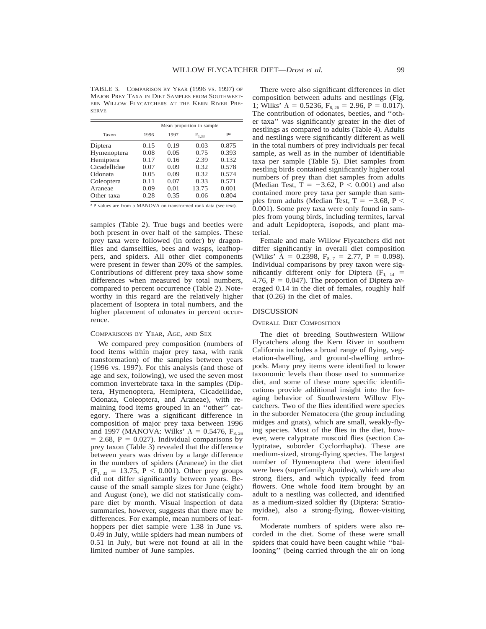TABLE 3. COMPARISON BY YEAR (1996 VS. 1997) OF MAJOR PREY TAXA IN DIET SAMPLES FROM SOUTHWEST-ERN WILLOW FLYCATCHERS AT THE KERN RIVER PRE-SERVE

|              | Mean proportion in sample |      |            |       |
|--------------|---------------------------|------|------------|-------|
| Taxon        | 1996                      | 1997 | $F_{1,33}$ | pa    |
| Diptera      | 0.15                      | 0.19 | 0.03       | 0.875 |
| Hymenoptera  | 0.08                      | 0.05 | 0.75       | 0.393 |
| Hemiptera    | 0.17                      | 0.16 | 2.39       | 0.132 |
| Cicadellidae | 0.07                      | 0.09 | 0.32       | 0.578 |
| Odonata      | 0.05                      | 0.09 | 0.32       | 0.574 |
| Coleoptera   | 0.11                      | 0.07 | 0.33       | 0.571 |
| Araneae      | 0.09                      | 0.01 | 13.75      | 0.001 |
| Other taxa   | 0.28                      | 0.35 | 0.06       | 0.804 |

<sup>a</sup> P values are from a MANOVA on transformed rank data (see text).

samples (Table 2). True bugs and beetles were both present in over half of the samples. These prey taxa were followed (in order) by dragonflies and damselflies, bees and wasps, leafhoppers, and spiders. All other diet components were present in fewer than 20% of the samples. Contributions of different prey taxa show some differences when measured by total numbers, compared to percent occurrence (Table 2). Noteworthy in this regard are the relatively higher placement of Isoptera in total numbers, and the higher placement of odonates in percent occurrence.

#### COMPARISONS BY YEAR, AGE, AND SEX

We compared prey composition (numbers of food items within major prey taxa, with rank transformation) of the samples between years (1996 vs. 1997). For this analysis (and those of age and sex, following), we used the seven most common invertebrate taxa in the samples (Diptera, Hymenoptera, Hemiptera, Cicadellidae, Odonata, Coleoptera, and Araneae), with remaining food items grouped in an ''other'' category. There was a significant difference in composition of major prey taxa between 1996 and 1997 (MANOVA: Wilks'  $\Lambda = 0.5476$ , F<sub>8, 26</sub>  $= 2.68$ ,  $P = 0.027$ ). Individual comparisons by prey taxon (Table 3) revealed that the difference between years was driven by a large difference in the numbers of spiders (Araneae) in the diet  $(F<sub>1, 33</sub> = 13.75, P < 0.001)$ . Other prey groups did not differ significantly between years. Because of the small sample sizes for June (eight) and August (one), we did not statistically compare diet by month. Visual inspection of data summaries, however, suggests that there may be differences. For example, mean numbers of leafhoppers per diet sample were 1.38 in June vs. 0.49 in July, while spiders had mean numbers of 0.51 in July, but were not found at all in the limited number of June samples.

There were also significant differences in diet composition between adults and nestlings (Fig. 1; Wilks'  $\Lambda = 0.5236$ ,  $F_{8, 26} = 2.96$ ,  $P = 0.017$ ). The contribution of odonates, beetles, and ''other taxa'' was significantly greater in the diet of nestlings as compared to adults (Table 4). Adults and nestlings were significantly different as well in the total numbers of prey individuals per fecal sample, as well as in the number of identifiable taxa per sample (Table 5). Diet samples from nestling birds contained significantly higher total numbers of prey than diet samples from adults (Median Test,  $T = -3.62$ ,  $P < 0.001$ ) and also contained more prey taxa per sample than samples from adults (Median Test,  $T = -3.68$ , P < 0.001). Some prey taxa were only found in samples from young birds, including termites, larval and adult Lepidoptera, isopods, and plant material.

Female and male Willow Flycatchers did not differ significantly in overall diet composition (Wilks'  $\Lambda = 0.2398$ ,  $F_{8, 7} = 2.77$ ,  $P = 0.098$ ). Individual comparisons by prey taxon were significantly different only for Diptera  $(F_{1, 14}$  = 4.76,  $P = 0.047$ ). The proportion of Diptera averaged 0.14 in the diet of females, roughly half that (0.26) in the diet of males.

# DISCUSSION

#### OVERALL DIET COMPOSITION

The diet of breeding Southwestern Willow Flycatchers along the Kern River in southern California includes a broad range of flying, vegetation-dwelling, and ground-dwelling arthropods. Many prey items were identified to lower taxonomic levels than those used to summarize diet, and some of these more specific identifications provide additional insight into the foraging behavior of Southwestern Willow Flycatchers. Two of the flies identified were species in the suborder Nematocera (the group including midges and gnats), which are small, weakly-flying species. Most of the flies in the diet, however, were calyptrate muscoid flies (section Calyptratae, suborder Cyclorrhapha). These are medium-sized, strong-flying species. The largest number of Hymenoptera that were identified were bees (superfamily Apoidea), which are also strong fliers, and which typically feed from flowers. One whole food item brought by an adult to a nestling was collected, and identified as a medium-sized soldier fly (Diptera: Stratiomyidae), also a strong-flying, flower-visiting form.

Moderate numbers of spiders were also recorded in the diet. Some of these were small spiders that could have been caught while ''ballooning'' (being carried through the air on long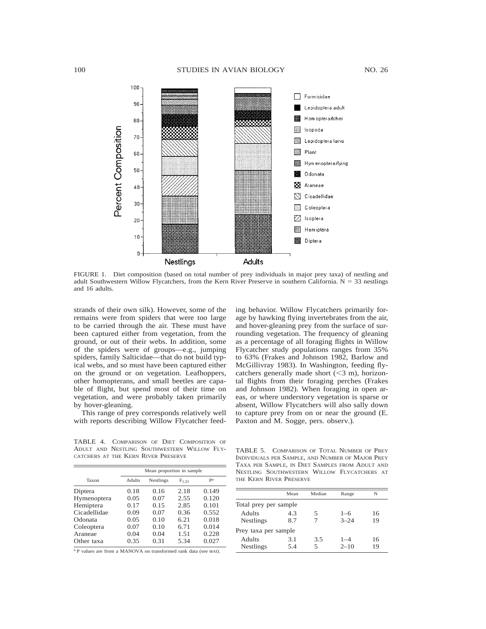

FIGURE 1. Diet composition (based on total number of prey individuals in major prey taxa) of nestling and adult Southwestern Willow Flycatchers, from the Kern River Preserve in southern California.  $N = 33$  nestlings and 16 adults.

strands of their own silk). However, some of the remains were from spiders that were too large to be carried through the air. These must have been captured either from vegetation, from the ground, or out of their webs. In addition, some of the spiders were of groups—e.g., jumping spiders, family Salticidae—that do not build typical webs, and so must have been captured either on the ground or on vegetation. Leafhoppers, other homopterans, and small beetles are capable of flight, but spend most of their time on vegetation, and were probably taken primarily by hover-gleaning.

This range of prey corresponds relatively well with reports describing Willow Flycatcher feed-

ing behavior. Willow Flycatchers primarily forage by hawking flying invertebrates from the air, and hover-gleaning prey from the surface of surrounding vegetation. The frequency of gleaning as a percentage of all foraging flights in Willow Flycatcher study populations ranges from 35% to 63% (Frakes and Johnson 1982, Barlow and McGillivray 1983). In Washington, feeding flycatchers generally made short  $( $3 \text{ m}$ ), horizon$ tal flights from their foraging perches (Frakes and Johnson 1982). When foraging in open areas, or where understory vegetation is sparse or absent, Willow Flycatchers will also sally down to capture prey from on or near the ground (E. Paxton and M. Sogge, pers. observ.).

TABLE 4. COMPARISON OF DIET COMPOSITION OF ADULT AND NESTLING SOUTHWESTERN WILLOW FLY-CATCHERS AT THE KERN RIVER PRESERVE

| Taxon        | Mean proportion in sample |                  |            |       |
|--------------|---------------------------|------------------|------------|-------|
|              | Adults                    | <b>Nestlings</b> | $F_{1,33}$ | pa    |
| Diptera      | 0.18                      | 0.16             | 2.18       | 0.149 |
| Hymenoptera  | 0.05                      | 0.07             | 2.55       | 0.120 |
| Hemiptera    | 0.17                      | 0.15             | 2.85       | 0.101 |
| Cicadellidae | 0.09                      | 0.07             | 0.36       | 0.552 |
| Odonata      | 0.05                      | 0.10             | 6.21       | 0.018 |
| Coleoptera   | 0.07                      | 0.10             | 6.71       | 0.014 |
| Araneae      | 0.04                      | 0.04             | 1.51       | 0.228 |
| Other taxa   | 0.35                      | 0.31             | 5.34       | 0.027 |

TABLE 5. COMPARISON OF TOTAL NUMBER OF PREY INDIVIDUALS PER SAMPLE, AND NUMBER OF MAJOR PREY TAXA PER SAMPLE, IN DIET SAMPLES FROM ADULT AND NESTLING SOUTHWESTERN WILLOW FLYCATCHERS AT THE KERN RIVER PRESERVE

|                            | Mean       | Median | Range               | N        |
|----------------------------|------------|--------|---------------------|----------|
| Total prey per sample      |            |        |                     |          |
| Adults<br>Nestlings        | 4.3<br>8.7 | 5      | $1 - 6$<br>$3 - 24$ | 16<br>19 |
| Prey taxa per sample       |            |        |                     |          |
| <b>Adults</b><br>Nestlings | 3.1<br>5.4 | 3.5    | $1 - 4$<br>$2 - 10$ | 16<br>19 |

<sup>a</sup> P values are from a MANOVA on transformed rank data (see text).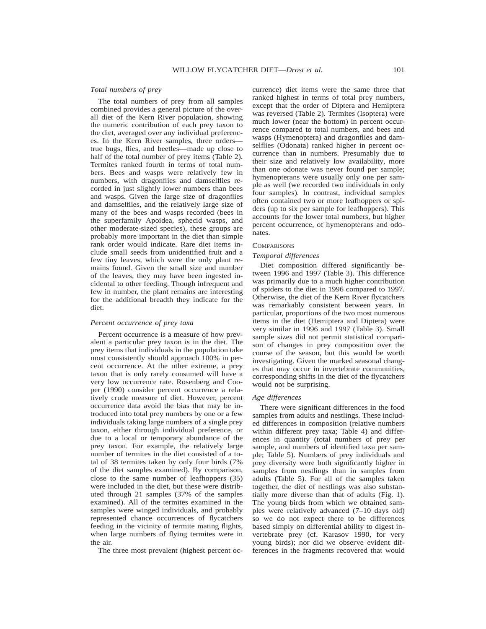#### *Total numbers of prey*

The total numbers of prey from all samples combined provides a general picture of the overall diet of the Kern River population, showing the numeric contribution of each prey taxon to the diet, averaged over any individual preferences. In the Kern River samples, three orders true bugs, flies, and beetles—made up close to half of the total number of prey items (Table 2). Termites ranked fourth in terms of total numbers. Bees and wasps were relatively few in numbers, with dragonflies and damselflies recorded in just slightly lower numbers than bees and wasps. Given the large size of dragonflies and damselflies, and the relatively large size of many of the bees and wasps recorded (bees in the superfamily Apoidea, sphecid wasps, and other moderate-sized species), these groups are probably more important in the diet than simple rank order would indicate. Rare diet items include small seeds from unidentified fruit and a few tiny leaves, which were the only plant remains found. Given the small size and number of the leaves, they may have been ingested incidental to other feeding. Though infrequent and few in number, the plant remains are interesting for the additional breadth they indicate for the diet.

# *Percent occurrence of prey taxa*

Percent occurrence is a measure of how prevalent a particular prey taxon is in the diet. The prey items that individuals in the population take most consistently should approach 100% in percent occurrence. At the other extreme, a prey taxon that is only rarely consumed will have a very low occurrence rate. Rosenberg and Cooper (1990) consider percent occurrence a relatively crude measure of diet. However, percent occurrence data avoid the bias that may be introduced into total prey numbers by one or a few individuals taking large numbers of a single prey taxon, either through individual preference, or due to a local or temporary abundance of the prey taxon. For example, the relatively large number of termites in the diet consisted of a total of 38 termites taken by only four birds (7% of the diet samples examined). By comparison, close to the same number of leafhoppers (35) were included in the diet, but these were distributed through 21 samples (37% of the samples examined). All of the termites examined in the samples were winged individuals, and probably represented chance occurrences of flycatchers feeding in the vicinity of termite mating flights, when large numbers of flying termites were in the air.

The three most prevalent (highest percent oc-

currence) diet items were the same three that ranked highest in terms of total prey numbers, except that the order of Diptera and Hemiptera was reversed (Table 2). Termites (Isoptera) were much lower (near the bottom) in percent occurrence compared to total numbers, and bees and wasps (Hymenoptera) and dragonflies and damselflies (Odonata) ranked higher in percent occurrence than in numbers. Presumably due to their size and relatively low availability, more than one odonate was never found per sample; hymenopterans were usually only one per sample as well (we recorded two individuals in only four samples). In contrast, individual samples often contained two or more leafhoppers or spiders (up to six per sample for leafhoppers). This accounts for the lower total numbers, but higher percent occurrence, of hymenopterans and odonates.

# **COMPARISONS**

### *Temporal differences*

Diet composition differed significantly between 1996 and 1997 (Table 3). This difference was primarily due to a much higher contribution of spiders to the diet in 1996 compared to 1997. Otherwise, the diet of the Kern River flycatchers was remarkably consistent between years. In particular, proportions of the two most numerous items in the diet (Hemiptera and Diptera) were very similar in 1996 and 1997 (Table 3). Small sample sizes did not permit statistical comparison of changes in prey composition over the course of the season, but this would be worth investigating. Given the marked seasonal changes that may occur in invertebrate communities, corresponding shifts in the diet of the flycatchers would not be surprising.

# *Age differences*

There were significant differences in the food samples from adults and nestlings. These included differences in composition (relative numbers within different prey taxa; Table 4) and differences in quantity (total numbers of prey per sample, and numbers of identified taxa per sample; Table 5). Numbers of prey individuals and prey diversity were both significantly higher in samples from nestlings than in samples from adults (Table 5). For all of the samples taken together, the diet of nestlings was also substantially more diverse than that of adults (Fig. 1). The young birds from which we obtained samples were relatively advanced (7–10 days old) so we do not expect there to be differences based simply on differential ability to digest invertebrate prey (cf. Karasov 1990, for very young birds); nor did we observe evident differences in the fragments recovered that would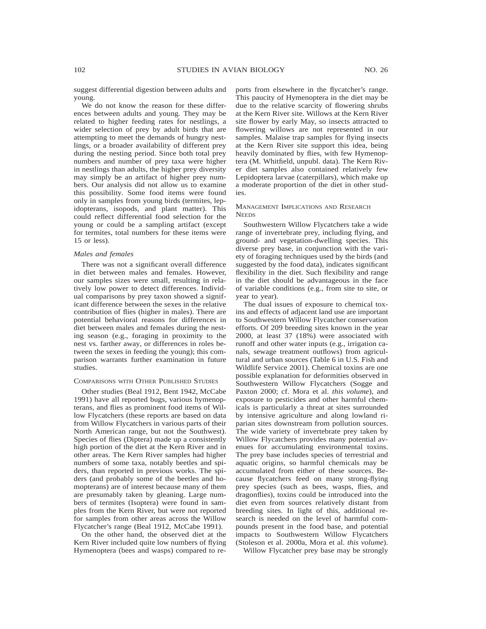suggest differential digestion between adults and young.

We do not know the reason for these differences between adults and young. They may be related to higher feeding rates for nestlings, a wider selection of prey by adult birds that are attempting to meet the demands of hungry nestlings, or a broader availability of different prey during the nesting period. Since both total prey numbers and number of prey taxa were higher in nestlings than adults, the higher prey diversity may simply be an artifact of higher prey numbers. Our analysis did not allow us to examine this possibility. Some food items were found only in samples from young birds (termites, lepidopterans, isopods, and plant matter). This could reflect differential food selection for the young or could be a sampling artifact (except for termites, total numbers for these items were 15 or less).

# *Males and females*

There was not a significant overall difference in diet between males and females. However, our samples sizes were small, resulting in relatively low power to detect differences. Individual comparisons by prey taxon showed a significant difference between the sexes in the relative contribution of flies (higher in males). There are potential behavioral reasons for differences in diet between males and females during the nesting season (e.g., foraging in proximity to the nest vs. farther away, or differences in roles between the sexes in feeding the young); this comparison warrants further examination in future studies.

# COMPARISONS WITH OTHER PUBLISHED STUDIES

Other studies (Beal 1912, Bent 1942, McCabe 1991) have all reported bugs, various hymenopterans, and flies as prominent food items of Willow Flycatchers (these reports are based on data from Willow Flycatchers in various parts of their North American range, but not the Southwest). Species of flies (Diptera) made up a consistently high portion of the diet at the Kern River and in other areas. The Kern River samples had higher numbers of some taxa, notably beetles and spiders, than reported in previous works. The spiders (and probably some of the beetles and homopterans) are of interest because many of them are presumably taken by gleaning. Large numbers of termites (Isoptera) were found in samples from the Kern River, but were not reported for samples from other areas across the Willow Flycatcher's range (Beal 1912, McCabe 1991).

On the other hand, the observed diet at the Kern River included quite low numbers of flying Hymenoptera (bees and wasps) compared to reports from elsewhere in the flycatcher's range. This paucity of Hymenoptera in the diet may be due to the relative scarcity of flowering shrubs at the Kern River site. Willows at the Kern River site flower by early May, so insects attracted to flowering willows are not represented in our samples. Malaise trap samples for flying insects at the Kern River site support this idea, being heavily dominated by flies, with few Hymenoptera (M. Whitfield, unpubl. data). The Kern River diet samples also contained relatively few Lepidoptera larvae (caterpillars), which make up a moderate proportion of the diet in other studies.

#### MANAGEMENT IMPLICATIONS AND RESEARCH **NEEDS**

Southwestern Willow Flycatchers take a wide range of invertebrate prey, including flying, and ground- and vegetation-dwelling species. This diverse prey base, in conjunction with the variety of foraging techniques used by the birds (and suggested by the food data), indicates significant flexibility in the diet. Such flexibility and range in the diet should be advantageous in the face of variable conditions (e.g., from site to site, or year to year).

The dual issues of exposure to chemical toxins and effects of adjacent land use are important to Southwestern Willow Flycatcher conservation efforts. Of 209 breeding sites known in the year 2000, at least 37 (18%) were associated with runoff and other water inputs (e.g., irrigation canals, sewage treatment outflows) from agricultural and urban sources (Table 6 in U.S. Fish and Wildlife Service 2001). Chemical toxins are one possible explanation for deformities observed in Southwestern Willow Flycatchers (Sogge and Paxton 2000; cf. Mora et al. *this volume*), and exposure to pesticides and other harmful chemicals is particularly a threat at sites surrounded by intensive agriculture and along lowland riparian sites downstream from pollution sources. The wide variety of invertebrate prey taken by Willow Flycatchers provides many potential avenues for accumulating environmental toxins. The prey base includes species of terrestrial and aquatic origins, so harmful chemicals may be accumulated from either of these sources. Because flycatchers feed on many strong-flying prey species (such as bees, wasps, flies, and dragonflies), toxins could be introduced into the diet even from sources relatively distant from breeding sites. In light of this, additional research is needed on the level of harmful compounds present in the food base, and potential impacts to Southwestern Willow Flycatchers (Stoleson et al. 2000a, Mora et al. *this volume*).

Willow Flycatcher prey base may be strongly